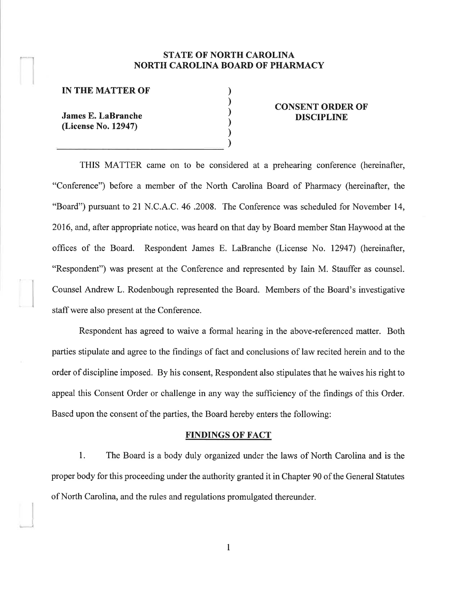## **STATE OF NORTH CAROLINA** NORTH CAROLINA BOARD OF PHARMACY

) ) ) ) ) )

#### IN THE MATTER OF'

James E. LaBranche (License No. 12947)

)

#### CONSENT ORDER OF DISCIPLINE

THIS MATTER came on to be considered at a prehearing conference (hereinafter, "Conference") before a member of the North Carolina Board of Pharmacy (hereinafter, the "Board") pursuant to 21 N.C.A.C. 46 .2008. The Conference was scheduled for November 14, 2016, and, after appropriate notice, was heard on that day by Board member Stan Haywood at the offices of the Board. Respondent James E. LaBranche (License No. 12947) (hereinafter, "Respondent") was present at the Conference and represented by Iain M. Stauffer as counsel. Counsel Andrew L. Rodenbough represented the Board. Members of the Board's investigative staff were also present at the Conference.

Respondent has agreed to waive a formal hearing in the above-referenced matter. Both parties stipulate and agree to the findings of fact and conclusions of law recited herein and to the order of discipline imposed. By his consent, Respondent also stipulates that he waives his right to appeal this Consent Order or challenge in any way the sufficiency of the findings of this Order. Based upon the consent of the parties, the Board hereby enters the following:

#### FINDINGS OF FACT

1. The Board is a body duly organized under the laws of North Carolina and is the proper body for this proceeding under the authority granted it in Chapter 90 of the General Statutes of North Carolina, and the rules and regulations promulgated thereunder.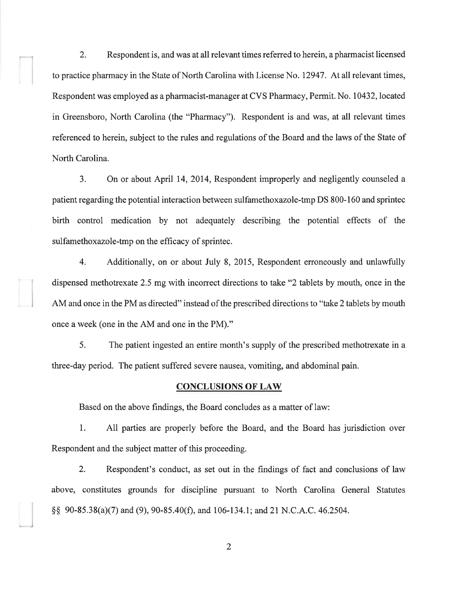2. Respondent is, and was at all relevant times referred to herein, a pharmacist licensed to practice pharmacy in the State of North Carolina with License No. 12947. At all relevant times, Respondent was employed as a pharmacist-manager at CVS Pharmacy, Permit. No. 10432, located in Greensboro, North Carolina (the "Pharmacy"). Respondent is and was, at all relevant times referenced to herein, subject to the rules and regulations of the Board and the laws of the State of North Carolina.

3. On or about April 14, 2014, Respondent improperly and negligently counseled <sup>a</sup> patient regarding the potential interaction between sulfamethoxazole-tmp DS 800-160 and sprintec birth control medication by not adequately describing the potential effects of the sulfamethoxazole-tmp on the efficacy of sprintec.

4. Additionally, on or about July 8, 2015, Respondent erroneously and unlawfully dispensed methotrexate 2.5 mg with incorrect directions to take "2 tablets by mouth, once in the AM and once in the PM as directed" instead of the prescribed directions to "take 2 tablets by mouth once a week (one in the AM and one in the PM)."

5. The patient ingested an entire month's supply of the prescribed methotrexate in <sup>a</sup> three-day period. The patient suffered severe nausea, vomiting, and abdominal pain.

#### **CONCLUSIONS OF LAW**

Based on the above findings, the Board concludes as a matter of law:

L All parties are properly before the Board, and the Board has jurisdiction over Respondent and the subject matter of this proceeding.

2. Respondent's conduct, as set out in the findings of fact and conclusions of law above, constitutes grounds for discipline pursuant to North Carolina General Statutes  $\S$ § 90-85.38(a)(7) and (9), 90-85.40(f), and 106-134.1; and 21 N.C.A.C. 46.2504.

2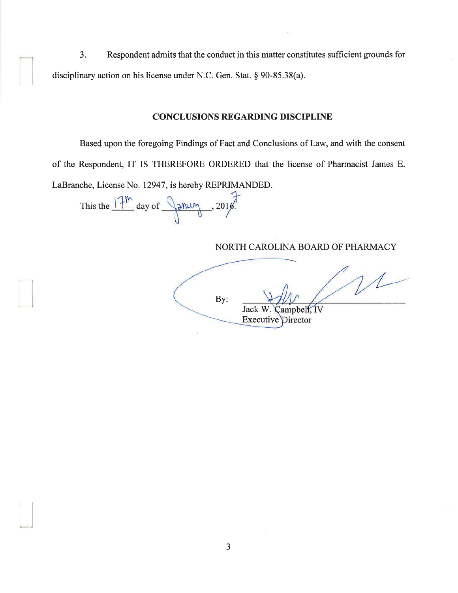$3.$ Respondent admits that the conduct in this matter constitutes sufficient grounds for disciplinary action on his license under N.C. Gen. Stat. § 90-85.38(a).

### **CONCLUSIONS REGARDING DISCIPLINE**

Based upon the foregoing Findings of Fact and Conclusions of Law, and with the consent of the Respondent, IT IS THEREFORE ORDERED that the license of Pharmacist James E. LaBranche, License No. 12947, is hereby REPRIMANDED.

This the  $17^{\text{m}}$  day of  $\sqrt{2^{n+2}}$ , 2018.

NORTH CAROLINA BOARD OF PHARMACY

 $1/1$ By: Campbell, IV Jack W. **Executive Director**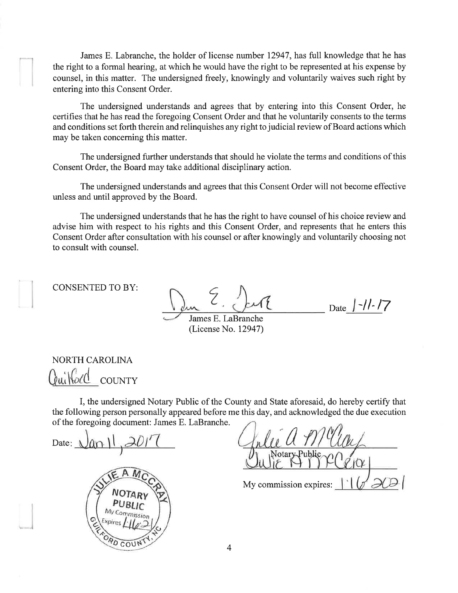James E. Labranche, the holder of license number 12947, has full knowledge that he has the right to a formal hearing, at which he would have the right to be represented at his expense by counsel, in this matter. The undersigned freely, knowingly and voluntarily waives such right by entering into this Consent Order.

The undersigned understands and agrees that by entering into this Consent Order, he certifies that he has read the foregoing Consent Order and that he voluntarily consents to the terms and conditions set forth therein and relinquishes any right to judicial review of Board actions which may be taken concerning this matter.

The undersigned further understands that should he violate the terms and conditions of this Consent Order, the Board may take additional disciplinary action.

The undersigned understands and agrees that this Consent Order will not become effective unless and until approved by the Board.

The undersigned understands that he has the right to have counsel of his choice review and advise him with respect to his rights and this Consent Order, and represents that he enters this Consent Order after consultation with his counsel or after knowingly and voluntarily choosing not to consult with counsel.

CONSENTED TO BY:

 $\zeta$ 

Date  $|-\frac{1}{2}|$ 

James E. LaBranche (License No. 12947)

NORTH CAROLINA builfold COUNTY

I, the undersigned Notary Public of the County and State aforesaid, do hereby certify that the following person personally appeared before me this day, and acknowledged the due execution of the foregoing document: James E. LaBranche.

Date:  $Van$   $||$ ,  $201$ '  $||$ PD COU o

My commission expires: